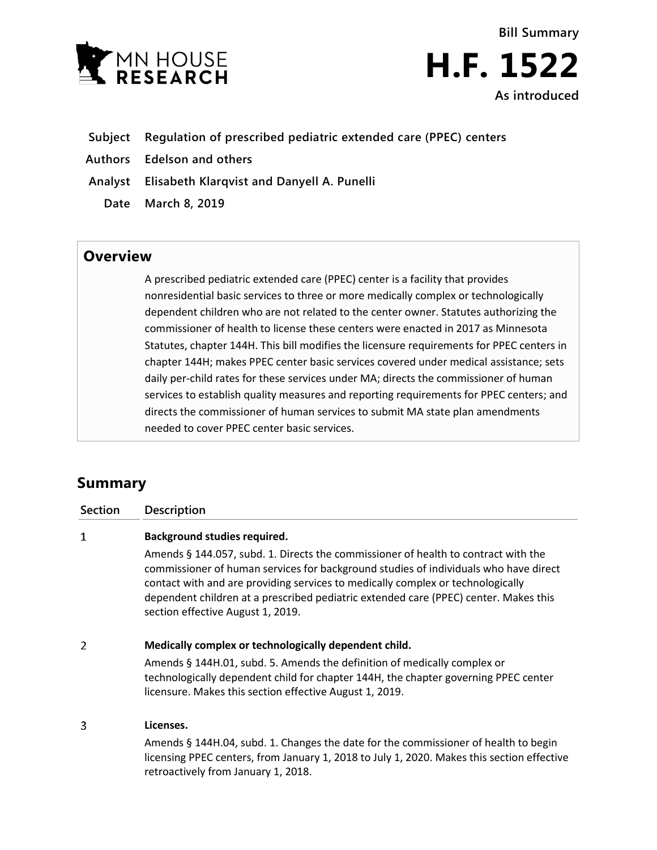



- **Subject Regulation of prescribed pediatric extended care (PPEC) centers**
- **Authors Edelson and others**
- **Analyst Elisabeth Klarqvist and Danyell A. Punelli**
	- **Date March 8, 2019**

## **Overview**

A prescribed pediatric extended care (PPEC) center is a facility that provides nonresidential basic services to three or more medically complex or technologically dependent children who are not related to the center owner. Statutes authorizing the commissioner of health to license these centers were enacted in 2017 as Minnesota Statutes, chapter 144H. This bill modifies the licensure requirements for PPEC centers in chapter 144H; makes PPEC center basic services covered under medical assistance; sets daily per-child rates for these services under MA; directs the commissioner of human services to establish quality measures and reporting requirements for PPEC centers; and directs the commissioner of human services to submit MA state plan amendments needed to cover PPEC center basic services.

# **Summary**

**Section Description**

#### $\mathbf{1}$ **Background studies required.**

Amends § 144.057, subd. 1. Directs the commissioner of health to contract with the commissioner of human services for background studies of individuals who have direct contact with and are providing services to medically complex or technologically dependent children at a prescribed pediatric extended care (PPEC) center. Makes this section effective August 1, 2019.

#### $\overline{2}$ **Medically complex or technologically dependent child.**

Amends § 144H.01, subd. 5. Amends the definition of medically complex or technologically dependent child for chapter 144H, the chapter governing PPEC center licensure. Makes this section effective August 1, 2019.

#### 3 **Licenses.**

Amends § 144H.04, subd. 1. Changes the date for the commissioner of health to begin licensing PPEC centers, from January 1, 2018 to July 1, 2020. Makes this section effective retroactively from January 1, 2018.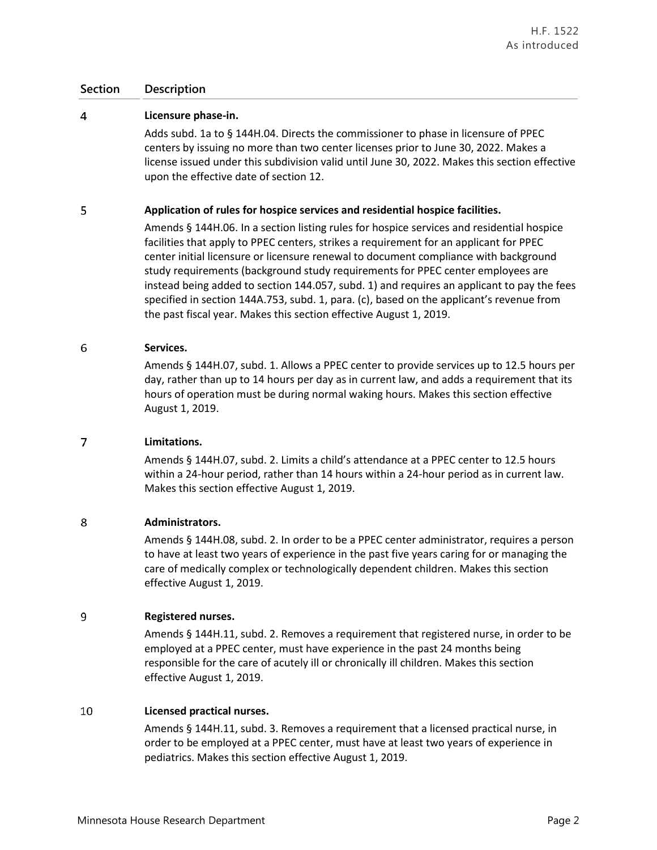### **Section Description**

#### $\overline{4}$ **Licensure phase-in.**

Adds subd. 1a to § 144H.04. Directs the commissioner to phase in licensure of PPEC centers by issuing no more than two center licenses prior to June 30, 2022. Makes a license issued under this subdivision valid until June 30, 2022. Makes this section effective upon the effective date of section 12.

#### 5 **Application of rules for hospice services and residential hospice facilities.**

Amends § 144H.06. In a section listing rules for hospice services and residential hospice facilities that apply to PPEC centers, strikes a requirement for an applicant for PPEC center initial licensure or licensure renewal to document compliance with background study requirements (background study requirements for PPEC center employees are instead being added to section 144.057, subd. 1) and requires an applicant to pay the fees specified in section 144A.753, subd. 1, para. (c), based on the applicant's revenue from the past fiscal year. Makes this section effective August 1, 2019.

#### 6 **Services.**

Amends § 144H.07, subd. 1. Allows a PPEC center to provide services up to 12.5 hours per day, rather than up to 14 hours per day as in current law, and adds a requirement that its hours of operation must be during normal waking hours. Makes this section effective August 1, 2019.

#### $\overline{7}$ **Limitations.**

Amends § 144H.07, subd. 2. Limits a child's attendance at a PPEC center to 12.5 hours within a 24-hour period, rather than 14 hours within a 24-hour period as in current law. Makes this section effective August 1, 2019.

#### 8 **Administrators.**

Amends § 144H.08, subd. 2. In order to be a PPEC center administrator, requires a person to have at least two years of experience in the past five years caring for or managing the care of medically complex or technologically dependent children. Makes this section effective August 1, 2019.

#### 9 **Registered nurses.**

Amends § 144H.11, subd. 2. Removes a requirement that registered nurse, in order to be employed at a PPEC center, must have experience in the past 24 months being responsible for the care of acutely ill or chronically ill children. Makes this section effective August 1, 2019.

#### 10 **Licensed practical nurses.**

Amends § 144H.11, subd. 3. Removes a requirement that a licensed practical nurse, in order to be employed at a PPEC center, must have at least two years of experience in pediatrics. Makes this section effective August 1, 2019.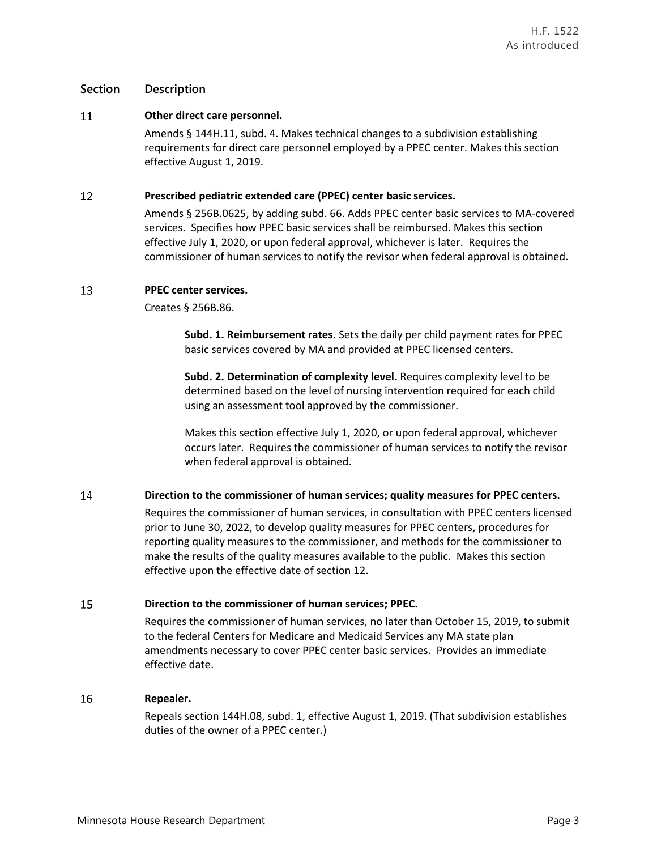### **Section Description**

#### 11 **Other direct care personnel.**

Amends § 144H.11, subd. 4. Makes technical changes to a subdivision establishing requirements for direct care personnel employed by a PPEC center. Makes this section effective August 1, 2019.

#### 12 **Prescribed pediatric extended care (PPEC) center basic services.**

Amends § 256B.0625, by adding subd. 66. Adds PPEC center basic services to MA-covered services. Specifies how PPEC basic services shall be reimbursed. Makes this section effective July 1, 2020, or upon federal approval, whichever is later. Requires the commissioner of human services to notify the revisor when federal approval is obtained.

#### 13 **PPEC center services.**

Creates § 256B.86.

**Subd. 1. Reimbursement rates.** Sets the daily per child payment rates for PPEC basic services covered by MA and provided at PPEC licensed centers.

**Subd. 2. Determination of complexity level.** Requires complexity level to be determined based on the level of nursing intervention required for each child using an assessment tool approved by the commissioner.

Makes this section effective July 1, 2020, or upon federal approval, whichever occurs later. Requires the commissioner of human services to notify the revisor when federal approval is obtained.

#### 14 **Direction to the commissioner of human services; quality measures for PPEC centers.**

Requires the commissioner of human services, in consultation with PPEC centers licensed prior to June 30, 2022, to develop quality measures for PPEC centers, procedures for reporting quality measures to the commissioner, and methods for the commissioner to make the results of the quality measures available to the public. Makes this section effective upon the effective date of section 12.

#### 15 **Direction to the commissioner of human services; PPEC.**

Requires the commissioner of human services, no later than October 15, 2019, to submit to the federal Centers for Medicare and Medicaid Services any MA state plan amendments necessary to cover PPEC center basic services. Provides an immediate effective date.

#### 16 **Repealer.**

Repeals section 144H.08, subd. 1, effective August 1, 2019. (That subdivision establishes duties of the owner of a PPEC center.)